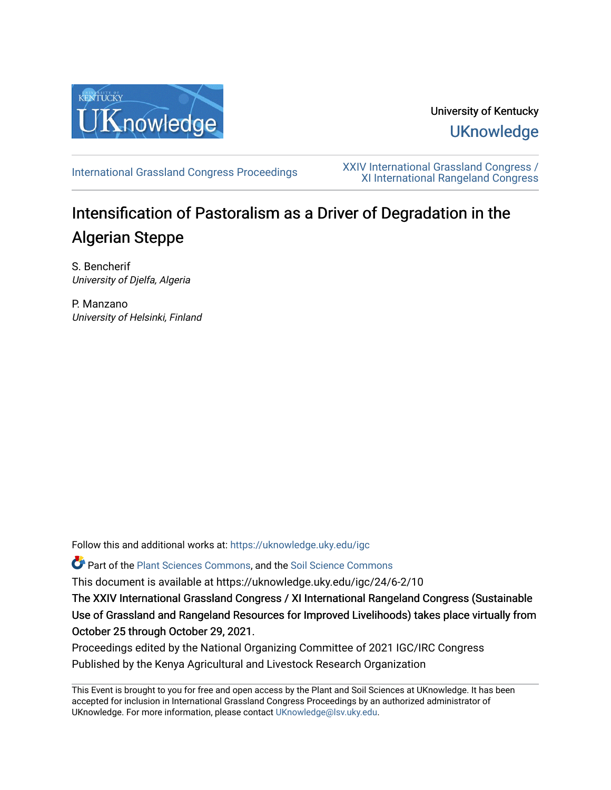

University of Kentucky **UKnowledge** 

[International Grassland Congress Proceedings](https://uknowledge.uky.edu/igc) [XXIV International Grassland Congress /](https://uknowledge.uky.edu/igc/24)  [XI International Rangeland Congress](https://uknowledge.uky.edu/igc/24) 

# Intensification of Pastoralism as a Driver of Degradation in the Algerian Steppe

S. Bencherif University of Djelfa, Algeria

P. Manzano University of Helsinki, Finland

Follow this and additional works at: [https://uknowledge.uky.edu/igc](https://uknowledge.uky.edu/igc?utm_source=uknowledge.uky.edu%2Figc%2F24%2F6-2%2F10&utm_medium=PDF&utm_campaign=PDFCoverPages) 

Part of the [Plant Sciences Commons](http://network.bepress.com/hgg/discipline/102?utm_source=uknowledge.uky.edu%2Figc%2F24%2F6-2%2F10&utm_medium=PDF&utm_campaign=PDFCoverPages), and the [Soil Science Commons](http://network.bepress.com/hgg/discipline/163?utm_source=uknowledge.uky.edu%2Figc%2F24%2F6-2%2F10&utm_medium=PDF&utm_campaign=PDFCoverPages) 

This document is available at https://uknowledge.uky.edu/igc/24/6-2/10

The XXIV International Grassland Congress / XI International Rangeland Congress (Sustainable Use of Grassland and Rangeland Resources for Improved Livelihoods) takes place virtually from October 25 through October 29, 2021.

Proceedings edited by the National Organizing Committee of 2021 IGC/IRC Congress Published by the Kenya Agricultural and Livestock Research Organization

This Event is brought to you for free and open access by the Plant and Soil Sciences at UKnowledge. It has been accepted for inclusion in International Grassland Congress Proceedings by an authorized administrator of UKnowledge. For more information, please contact [UKnowledge@lsv.uky.edu](mailto:UKnowledge@lsv.uky.edu).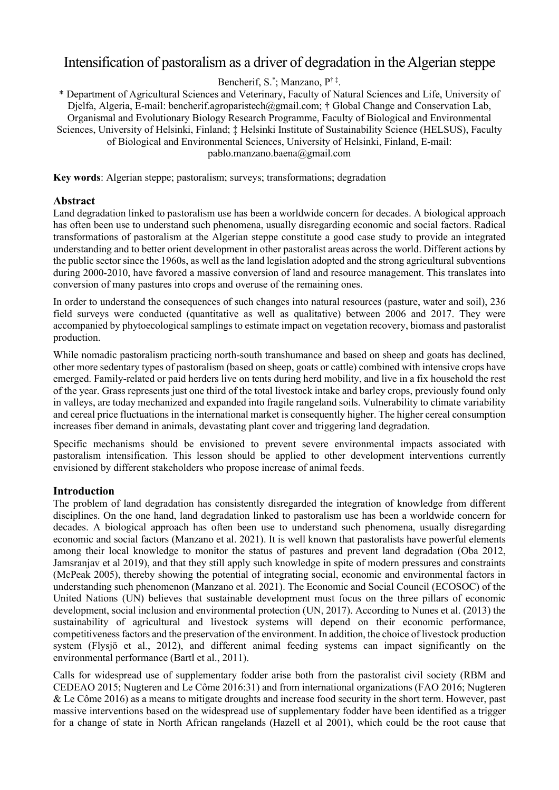# Intensification of pastoralism as a driver of degradation in the Algerian steppe

Bencherif, S.\* ; Manzano, P† ‡ .

\* Department of Agricultural Sciences and Veterinary, Faculty of Natural Sciences and Life, University of Djelfa, Algeria, E-mail: bencherif.agroparistech@gmail.com; † Global Change and Conservation Lab, Organismal and Evolutionary Biology Research Programme, Faculty of Biological and Environmental Sciences, University of Helsinki, Finland; ‡ Helsinki Institute of Sustainability Science (HELSUS), Faculty of Biological and Environmental Sciences, University of Helsinki, Finland, E-mail: pablo.manzano.baena@gmail.com

**Key words**: Algerian steppe; pastoralism; surveys; transformations; degradation

## **Abstract**

Land degradation linked to pastoralism use has been a worldwide concern for decades. A biological approach has often been use to understand such phenomena, usually disregarding economic and social factors. Radical transformations of pastoralism at the Algerian steppe constitute a good case study to provide an integrated understanding and to better orient development in other pastoralist areas across the world. Different actions by the public sector since the 1960s, as well as the land legislation adopted and the strong agricultural subventions during 2000-2010, have favored a massive conversion of land and resource management. This translates into conversion of many pastures into crops and overuse of the remaining ones.

In order to understand the consequences of such changes into natural resources (pasture, water and soil), 236 field surveys were conducted (quantitative as well as qualitative) between 2006 and 2017. They were accompanied by phytoecological samplings to estimate impact on vegetation recovery, biomass and pastoralist production.

While nomadic pastoralism practicing north-south transhumance and based on sheep and goats has declined, other more sedentary types of pastoralism (based on sheep, goats or cattle) combined with intensive crops have emerged. Family-related or paid herders live on tents during herd mobility, and live in a fix household the rest of the year. Grass represents just one third of the total livestock intake and barley crops, previously found only in valleys, are today mechanized and expanded into fragile rangeland soils. Vulnerability to climate variability and cereal price fluctuations in the international market is consequently higher. The higher cereal consumption increases fiber demand in animals, devastating plant cover and triggering land degradation.

Specific mechanisms should be envisioned to prevent severe environmental impacts associated with pastoralism intensification. This lesson should be applied to other development interventions currently envisioned by different stakeholders who propose increase of animal feeds.

# **Introduction**

The problem of land degradation has consistently disregarded the integration of knowledge from different disciplines. On the one hand, land degradation linked to pastoralism use has been a worldwide concern for decades. A biological approach has often been use to understand such phenomena, usually disregarding economic and social factors (Manzano et al. 2021). It is well known that pastoralists have powerful elements among their local knowledge to monitor the status of pastures and prevent land degradation (Oba 2012, Jamsranjav et al 2019), and that they still apply such knowledge in spite of modern pressures and constraints (McPeak 2005), thereby showing the potential of integrating social, economic and environmental factors in understanding such phenomenon (Manzano et al. 2021). The Economic and Social Council (ECOSOC) of the United Nations (UN) believes that sustainable development must focus on the three pillars of economic development, social inclusion and environmental protection (UN, 2017). According to Nunes et al. (2013) the sustainability of agricultural and livestock systems will depend on their economic performance, competitiveness factors and the preservation of the environment. In addition, the choice of livestock production system (Flysjö et al., 2012), and different animal feeding systems can impact significantly on the environmental performance (Bartl et al., 2011).

Calls for widespread use of supplementary fodder arise both from the pastoralist civil society (RBM and CEDEAO 2015; Nugteren and Le Côme 2016:31) and from international organizations (FAO 2016; Nugteren & Le Côme 2016) as a means to mitigate droughts and increase food security in the short term. However, past massive interventions based on the widespread use of supplementary fodder have been identified as a trigger for a change of state in North African rangelands (Hazell et al 2001), which could be the root cause that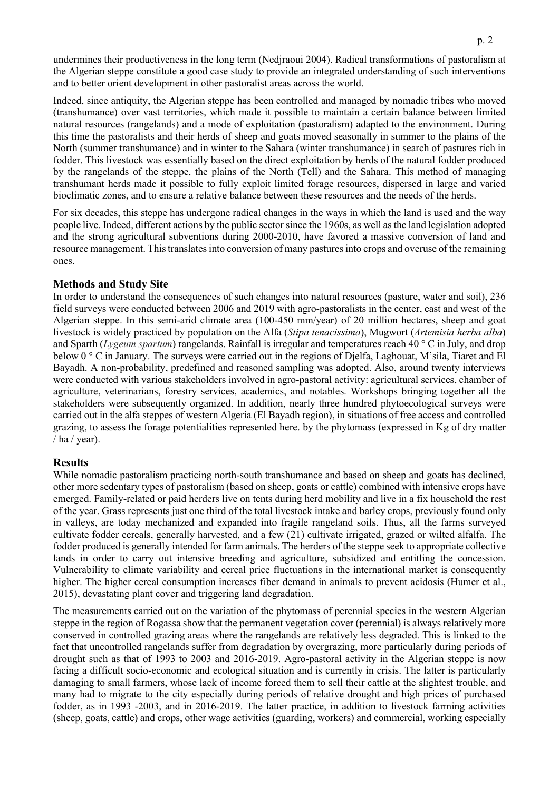undermines their productiveness in the long term (Nedjraoui 2004). Radical transformations of pastoralism at the Algerian steppe constitute a good case study to provide an integrated understanding of such interventions and to better orient development in other pastoralist areas across the world.

Indeed, since antiquity, the Algerian steppe has been controlled and managed by nomadic tribes who moved (transhumance) over vast territories, which made it possible to maintain a certain balance between limited natural resources (rangelands) and a mode of exploitation (pastoralism) adapted to the environment. During this time the pastoralists and their herds of sheep and goats moved seasonally in summer to the plains of the North (summer transhumance) and in winter to the Sahara (winter transhumance) in search of pastures rich in fodder. This livestock was essentially based on the direct exploitation by herds of the natural fodder produced by the rangelands of the steppe, the plains of the North (Tell) and the Sahara. This method of managing transhumant herds made it possible to fully exploit limited forage resources, dispersed in large and varied bioclimatic zones, and to ensure a relative balance between these resources and the needs of the herds.

For six decades, this steppe has undergone radical changes in the ways in which the land is used and the way people live. Indeed, different actions by the public sector since the 1960s, as well as the land legislation adopted and the strong agricultural subventions during 2000-2010, have favored a massive conversion of land and resource management. This translates into conversion of many pastures into crops and overuse of the remaining ones.

### **Methods and Study Site**

In order to understand the consequences of such changes into natural resources (pasture, water and soil), 236 field surveys were conducted between 2006 and 2019 with agro-pastoralists in the center, east and west of the Algerian steppe. In this semi-arid climate area (100-450 mm/year) of 20 million hectares, sheep and goat livestock is widely practiced by population on the Alfa (*Stipa tenacissima*), Mugwort (*[Artemisia herba alba](http://scholar.google.com/scholar_url?url=https://www.sciencedirect.com/science/article/pii/0378874188901432&hl=fr&sa=X&ei=eXkWYMb5L-PKsQLKtYWYBw&scisig=AAGBfm0KDWRBz-UB10q6v3lhjsqFXh-kNw&nossl=1&oi=scholarr)*) and Sparth (*Lygeum spartum*) rangelands. Rainfall is irregular and temperatures reach 40 ° C in July, and drop below 0 ° C in January. The surveys were carried out in the regions of Djelfa, Laghouat, M'sila, Tiaret and El Bayadh. A non-probability, predefined and reasoned sampling was adopted. Also, around twenty interviews were conducted with various stakeholders involved in agro-pastoral activity: agricultural services, chamber of agriculture, veterinarians, forestry services, academics, and notables. Workshops bringing together all the stakeholders were subsequently organized. In addition, nearly three hundred phytoecological surveys were carried out in the alfa steppes of western Algeria (El Bayadh region), in situations of free access and controlled grazing, to assess the forage potentialities represented here. by the phytomass (expressed in Kg of dry matter  $/$  ha  $/$  year).

#### **Results**

While nomadic pastoralism practicing north-south transhumance and based on sheep and goats has declined, other more sedentary types of pastoralism (based on sheep, goats or cattle) combined with intensive crops have emerged. Family-related or paid herders live on tents during herd mobility and live in a fix household the rest of the year. Grass represents just one third of the total livestock intake and barley crops, previously found only in valleys, are today mechanized and expanded into fragile rangeland soils. Thus, all the farms surveyed cultivate fodder cereals, generally harvested, and a few (21) cultivate irrigated, grazed or wilted alfalfa. The fodder produced is generally intended for farm animals. The herders of the steppe seek to appropriate collective lands in order to carry out intensive breeding and agriculture, subsidized and entitling the concession. Vulnerability to climate variability and cereal price fluctuations in the international market is consequently higher. The higher cereal consumption increases fiber demand in animals to prevent acidosis (Humer et al., 2015), devastating plant cover and triggering land degradation.

The measurements carried out on the variation of the phytomass of perennial species in the western Algerian steppe in the region of Rogassa show that the permanent vegetation cover (perennial) is always relatively more conserved in controlled grazing areas where the rangelands are relatively less degraded. This is linked to the fact that uncontrolled rangelands suffer from degradation by overgrazing, more particularly during periods of drought such as that of 1993 to 2003 and 2016-2019. Agro-pastoral activity in the Algerian steppe is now facing a difficult socio-economic and ecological situation and is currently in crisis. The latter is particularly damaging to small farmers, whose lack of income forced them to sell their cattle at the slightest trouble, and many had to migrate to the city especially during periods of relative drought and high prices of purchased fodder, as in 1993 -2003, and in 2016-2019. The latter practice, in addition to livestock farming activities (sheep, goats, cattle) and crops, other wage activities (guarding, workers) and commercial, working especially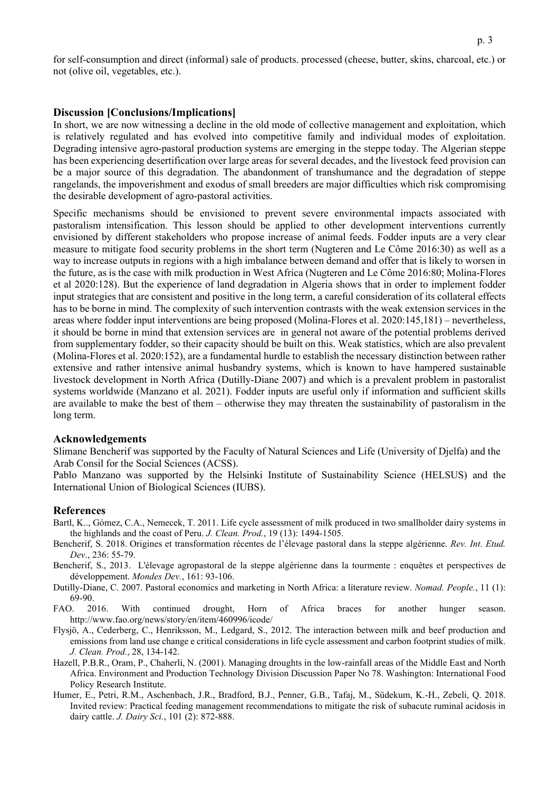for self-consumption and direct (informal) sale of products. processed (cheese, butter, skins, charcoal, etc.) or not (olive oil, vegetables, etc.).

#### **Discussion [Conclusions/Implications]**

In short, we are now witnessing a decline in the old mode of collective management and exploitation, which is relatively regulated and has evolved into competitive family and individual modes of exploitation. Degrading intensive agro-pastoral production systems are emerging in the steppe today. The Algerian steppe has been experiencing desertification over large areas for several decades, and the livestock feed provision can be a major source of this degradation. The abandonment of transhumance and the degradation of steppe rangelands, the impoverishment and exodus of small breeders are major difficulties which risk compromising the desirable development of agro-pastoral activities.

Specific mechanisms should be envisioned to prevent severe environmental impacts associated with pastoralism intensification. This lesson should be applied to other development interventions currently envisioned by different stakeholders who propose increase of animal feeds. Fodder inputs are a very clear measure to mitigate food security problems in the short term (Nugteren and Le Côme 2016:30) as well as a way to increase outputs in regions with a high imbalance between demand and offer that is likely to worsen in the future, as is the case with milk production in West Africa (Nugteren and Le Côme 2016:80; Molina-Flores et al 2020:128). But the experience of land degradation in Algeria shows that in order to implement fodder input strategies that are consistent and positive in the long term, a careful consideration of its collateral effects has to be borne in mind. The complexity of such intervention contrasts with the weak extension services in the areas where fodder input interventions are being proposed (Molina-Flores et al. 2020:145,181) – nevertheless, it should be borne in mind that extension services are in general not aware of the potential problems derived from supplementary fodder, so their capacity should be built on this. Weak statistics, which are also prevalent (Molina-Flores et al. 2020:152), are a fundamental hurdle to establish the necessary distinction between rather extensive and rather intensive animal husbandry systems, which is known to have hampered sustainable livestock development in North Africa (Dutilly-Diane 2007) and which is a prevalent problem in pastoralist systems worldwide (Manzano et al. 2021). Fodder inputs are useful only if information and sufficient skills are available to make the best of them – otherwise they may threaten the sustainability of pastoralism in the long term.

#### **Acknowledgements**

Slimane Bencherif was supported by the Faculty of Natural Sciences and Life (University of Djelfa) and the Arab Consil for the Social Sciences (ACSS).

Pablo Manzano was supported by the Helsinki Institute of Sustainability Science (HELSUS) and the International Union of Biological Sciences (IUBS).

#### **References**

- Bartl, K.., Gómez, C.A., Nemecek, T. 2011. Life cycle assessment of milk produced in two smallholder dairy systems in the highlands and the coast of Peru. *J. Clean. Prod.*, 19 (13): 1494-1505.
- Bencherif, S. 2018. Origines et transformation récentes de l'élevage pastoral dans la steppe algérienne. *Rev. Int. Etud. Dev*., 236: 55-79.
- Bencherif, S., 2013. L'élevage agropastoral de la steppe algérienne dans la tourmente : enquêtes et perspectives de développement. *Mondes Dev.*, 161: 93-106.
- Dutilly-Diane, C. 2007. Pastoral economics and marketing in North Africa: a literature review. *Nomad. People.*, 11 (1): 69-90.
- FAO. 2016. With continued drought, Horn of Africa braces for another hunger season. http://www.fao.org/news/story/en/item/460996/icode/
- Flysjö, A., Cederberg, C., Henriksson, M., Ledgard, S., 2012. The interaction between milk and beef production and emissions from land use change e critical considerations in life cycle assessment and carbon footprint studies of milk. *J. Clean. Prod.*, 28, 134-142.
- Hazell, P.B.R., Oram, P., Chaherli, N. (2001). Managing droughts in the low-rainfall areas of the Middle East and North Africa. Environment and Production Technology Division Discussion Paper No 78. Washington: International Food Policy Research Institute.
- Humer, E., Petri, R.M., Aschenbach, J.R., Bradford, B.J., Penner, G.B., Tafaj, M., Südekum, K.-H., Zebeli, Q. 2018. Invited review: Practical feeding management recommendations to mitigate the risk of subacute ruminal acidosis in dairy cattle. *J. Dairy Sci.*, 101 (2): 872-888.